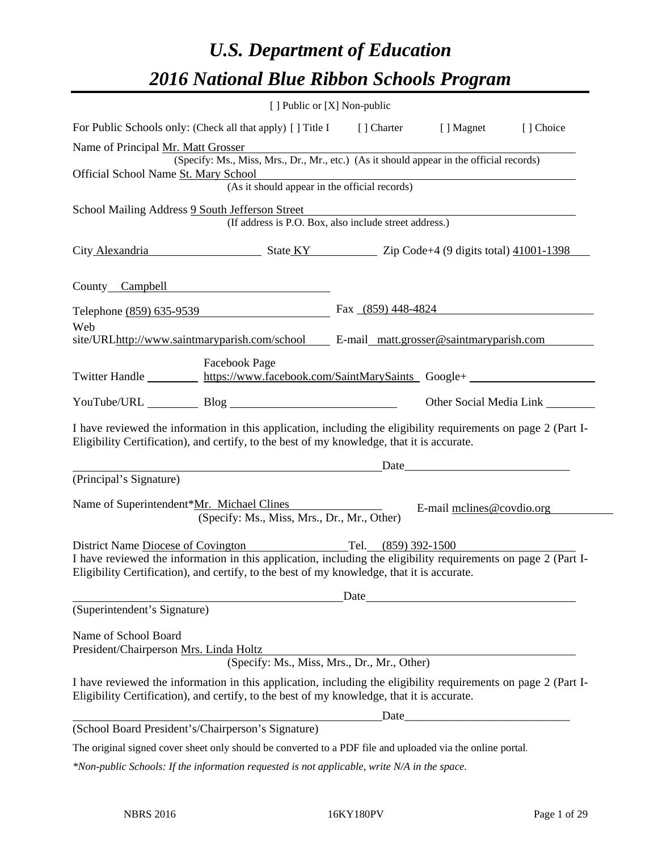# *U.S. Department of Education 2016 National Blue Ribbon Schools Program*

|                                                                                                            |                                                                                                                                                                                                              | [ ] Public or [X] Non-public |                           |           |
|------------------------------------------------------------------------------------------------------------|--------------------------------------------------------------------------------------------------------------------------------------------------------------------------------------------------------------|------------------------------|---------------------------|-----------|
|                                                                                                            | For Public Schools only: (Check all that apply) [] Title I [] Charter                                                                                                                                        |                              | [ ] Magnet                | [] Choice |
| Name of Principal Mr. Matt Grosser                                                                         | (Specify: Ms., Miss, Mrs., Dr., Mr., etc.) (As it should appear in the official records)                                                                                                                     |                              |                           |           |
| Official School Name St. Mary School<br>(As it should appear in the official records)                      |                                                                                                                                                                                                              |                              |                           |           |
|                                                                                                            |                                                                                                                                                                                                              |                              |                           |           |
|                                                                                                            | School Mailing Address 9 South Jefferson Street<br>(If address is P.O. Box, also include street address.)                                                                                                    |                              |                           |           |
|                                                                                                            | City Alexandria State KY Zip Code+4 (9 digits total) 41001-1398                                                                                                                                              |                              |                           |           |
|                                                                                                            | County Campbell County Campbell                                                                                                                                                                              |                              |                           |           |
|                                                                                                            | Telephone (859) 635-9539                                                                                                                                                                                     | Fax (859) 448-4824           |                           |           |
| Web                                                                                                        | site/URLhttp://www.saintmaryparish.com/school E-mail_matt.grosser@saintmaryparish.com                                                                                                                        |                              |                           |           |
|                                                                                                            | <b>Facebook Page</b><br>Twitter Handle https://www.facebook.com/SaintMarySaints Google+                                                                                                                      |                              |                           |           |
|                                                                                                            | YouTube/URL Blog                                                                                                                                                                                             |                              |                           |           |
|                                                                                                            | I have reviewed the information in this application, including the eligibility requirements on page 2 (Part I-<br>Eligibility Certification), and certify, to the best of my knowledge, that it is accurate. |                              |                           |           |
|                                                                                                            | Date <u>Date</u>                                                                                                                                                                                             |                              |                           |           |
| (Principal's Signature)                                                                                    |                                                                                                                                                                                                              |                              |                           |           |
|                                                                                                            | Name of Superintendent*Mr. Michael Clines<br>(Specify: Ms., Miss, Mrs., Dr., Mr., Other)                                                                                                                     |                              | E-mail melines@covdio.org |           |
|                                                                                                            | District Name Diocese of Covington Tel. (859) 392-1500                                                                                                                                                       |                              |                           |           |
|                                                                                                            | I have reviewed the information in this application, including the eligibility requirements on page 2 (Part I-<br>Eligibility Certification), and certify, to the best of my knowledge, that it is accurate. |                              |                           |           |
|                                                                                                            | Date                                                                                                                                                                                                         |                              |                           |           |
| (Superintendent's Signature)                                                                               |                                                                                                                                                                                                              |                              |                           |           |
| Name of School Board<br>President/Chairperson Mrs. Linda Holtz                                             |                                                                                                                                                                                                              |                              |                           |           |
|                                                                                                            | (Specify: Ms., Miss, Mrs., Dr., Mr., Other)                                                                                                                                                                  |                              |                           |           |
|                                                                                                            | I have reviewed the information in this application, including the eligibility requirements on page 2 (Part I-<br>Eligibility Certification), and certify, to the best of my knowledge, that it is accurate. |                              |                           |           |
|                                                                                                            |                                                                                                                                                                                                              |                              |                           |           |
|                                                                                                            | (School Board President's/Chairperson's Signature)                                                                                                                                                           |                              |                           |           |
| The original signed cover sheet only should be converted to a PDF file and uploaded via the online portal. |                                                                                                                                                                                                              |                              |                           |           |
| *Non-public Schools: If the information requested is not applicable, write N/A in the space.               |                                                                                                                                                                                                              |                              |                           |           |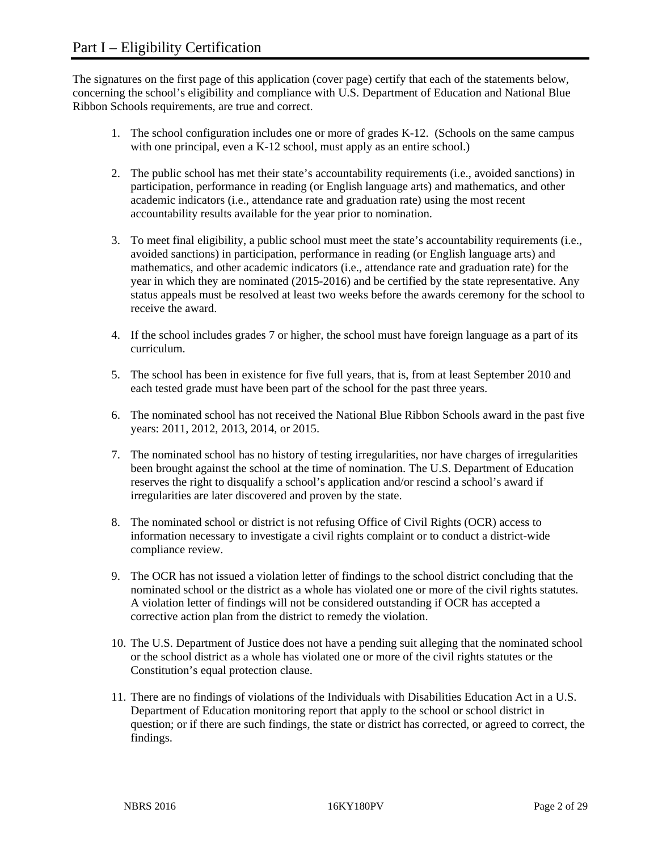The signatures on the first page of this application (cover page) certify that each of the statements below, concerning the school's eligibility and compliance with U.S. Department of Education and National Blue Ribbon Schools requirements, are true and correct.

- 1. The school configuration includes one or more of grades K-12. (Schools on the same campus with one principal, even a K-12 school, must apply as an entire school.)
- 2. The public school has met their state's accountability requirements (i.e., avoided sanctions) in participation, performance in reading (or English language arts) and mathematics, and other academic indicators (i.e., attendance rate and graduation rate) using the most recent accountability results available for the year prior to nomination.
- 3. To meet final eligibility, a public school must meet the state's accountability requirements (i.e., avoided sanctions) in participation, performance in reading (or English language arts) and mathematics, and other academic indicators (i.e., attendance rate and graduation rate) for the year in which they are nominated (2015-2016) and be certified by the state representative. Any status appeals must be resolved at least two weeks before the awards ceremony for the school to receive the award.
- 4. If the school includes grades 7 or higher, the school must have foreign language as a part of its curriculum.
- 5. The school has been in existence for five full years, that is, from at least September 2010 and each tested grade must have been part of the school for the past three years.
- 6. The nominated school has not received the National Blue Ribbon Schools award in the past five years: 2011, 2012, 2013, 2014, or 2015.
- 7. The nominated school has no history of testing irregularities, nor have charges of irregularities been brought against the school at the time of nomination. The U.S. Department of Education reserves the right to disqualify a school's application and/or rescind a school's award if irregularities are later discovered and proven by the state.
- 8. The nominated school or district is not refusing Office of Civil Rights (OCR) access to information necessary to investigate a civil rights complaint or to conduct a district-wide compliance review.
- 9. The OCR has not issued a violation letter of findings to the school district concluding that the nominated school or the district as a whole has violated one or more of the civil rights statutes. A violation letter of findings will not be considered outstanding if OCR has accepted a corrective action plan from the district to remedy the violation.
- 10. The U.S. Department of Justice does not have a pending suit alleging that the nominated school or the school district as a whole has violated one or more of the civil rights statutes or the Constitution's equal protection clause.
- 11. There are no findings of violations of the Individuals with Disabilities Education Act in a U.S. Department of Education monitoring report that apply to the school or school district in question; or if there are such findings, the state or district has corrected, or agreed to correct, the findings.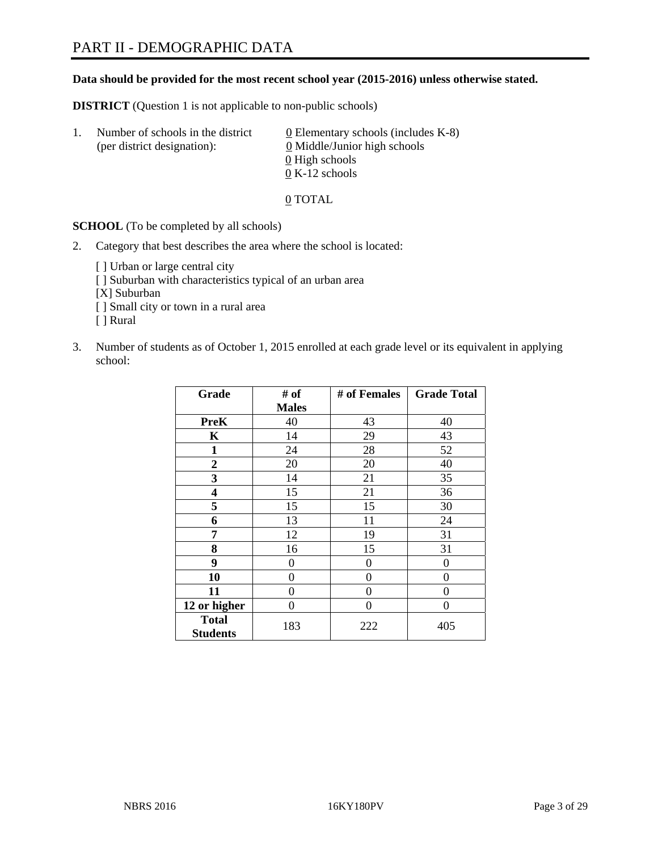#### **Data should be provided for the most recent school year (2015-2016) unless otherwise stated.**

**DISTRICT** (Question 1 is not applicable to non-public schools)

| Τ. | Number of schools in the district<br>(per district designation): | 0 Elementary schools (includes $K-8$ )<br>0 Middle/Junior high schools |
|----|------------------------------------------------------------------|------------------------------------------------------------------------|
|    |                                                                  | 0 High schools<br>$0 K-12$ schools                                     |

0 TOTAL

**SCHOOL** (To be completed by all schools)

2. Category that best describes the area where the school is located:

[] Urban or large central city [ ] Suburban with characteristics typical of an urban area [X] Suburban [ ] Small city or town in a rural area [ ] Rural

3. Number of students as of October 1, 2015 enrolled at each grade level or its equivalent in applying school:

| Grade                           | # of         | # of Females | <b>Grade Total</b> |
|---------------------------------|--------------|--------------|--------------------|
|                                 | <b>Males</b> |              |                    |
| <b>PreK</b>                     | 40           | 43           | 40                 |
| $\mathbf K$                     | 14           | 29           | 43                 |
| 1                               | 24           | 28           | 52                 |
| $\overline{2}$                  | 20           | 20           | 40                 |
| 3                               | 14           | 21           | 35                 |
| 4                               | 15           | 21           | 36                 |
| 5                               | 15           | 15           | 30                 |
| 6                               | 13           | 11           | 24                 |
| 7                               | 12           | 19           | 31                 |
| 8                               | 16           | 15           | 31                 |
| 9                               | 0            | 0            | 0                  |
| 10                              | 0            | $\theta$     | 0                  |
| 11                              | $\Omega$     | 0            | $\Omega$           |
| 12 or higher                    | 0            | 0            | 0                  |
| <b>Total</b><br><b>Students</b> | 183          | 222          | 405                |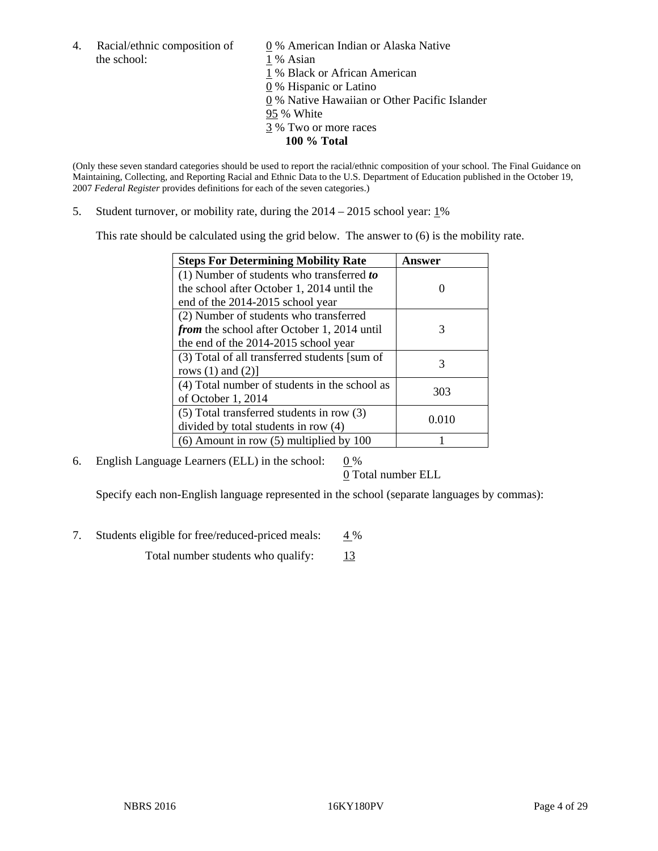the school: 1 % Asian

4. Racial/ethnic composition of  $\qquad 0\%$  American Indian or Alaska Native 1 % Black or African American 0 % Hispanic or Latino 0 % Native Hawaiian or Other Pacific Islander 95 % White 3 % Two or more races

**100 % Total** 

(Only these seven standard categories should be used to report the racial/ethnic composition of your school. The Final Guidance on Maintaining, Collecting, and Reporting Racial and Ethnic Data to the U.S. Department of Education published in the October 19, 2007 *Federal Register* provides definitions for each of the seven categories.)

5. Student turnover, or mobility rate, during the  $2014 - 2015$  school year:  $1\%$ 

This rate should be calculated using the grid below. The answer to (6) is the mobility rate.

| <b>Steps For Determining Mobility Rate</b>         | Answer |
|----------------------------------------------------|--------|
| $(1)$ Number of students who transferred to        |        |
| the school after October 1, 2014 until the         |        |
| end of the 2014-2015 school year                   |        |
| (2) Number of students who transferred             |        |
| <i>from</i> the school after October 1, 2014 until | 3      |
| the end of the 2014-2015 school year               |        |
| (3) Total of all transferred students [sum of      | 3      |
| rows $(1)$ and $(2)$ ]                             |        |
| (4) Total number of students in the school as      | 303    |
| of October 1, 2014                                 |        |
| $(5)$ Total transferred students in row $(3)$      | 0.010  |
| divided by total students in row (4)               |        |
| $(6)$ Amount in row $(5)$ multiplied by 100        |        |

6. English Language Learners (ELL) in the school:  $0\%$ 

0 Total number ELL

Specify each non-English language represented in the school (separate languages by commas):

7. Students eligible for free/reduced-priced meals: 4 %

Total number students who qualify:  $13$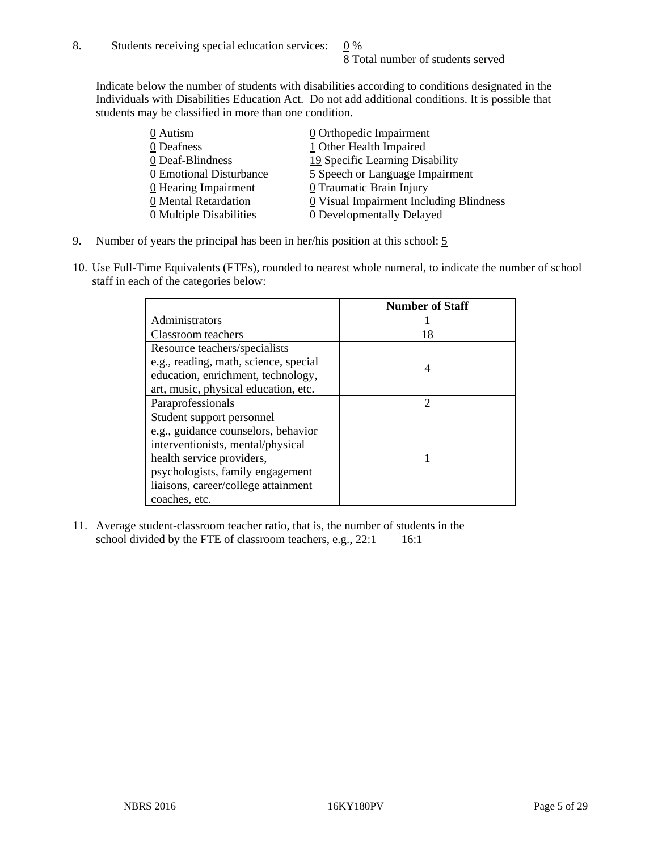Indicate below the number of students with disabilities according to conditions designated in the Individuals with Disabilities Education Act. Do not add additional conditions. It is possible that students may be classified in more than one condition.

| 0 Autism                           | 0 Orthopedic Impairment                 |
|------------------------------------|-----------------------------------------|
| 0 Deafness                         | 1 Other Health Impaired                 |
| 0 Deaf-Blindness                   | 19 Specific Learning Disability         |
| 0 Emotional Disturbance            | 5 Speech or Language Impairment         |
| $\underline{0}$ Hearing Impairment | $0$ Traumatic Brain Injury              |
| 0 Mental Retardation               | 0 Visual Impairment Including Blindness |
| 0 Multiple Disabilities            | <b>0</b> Developmentally Delayed        |

- 9. Number of years the principal has been in her/his position at this school: 5
- 10. Use Full-Time Equivalents (FTEs), rounded to nearest whole numeral, to indicate the number of school staff in each of the categories below:

|                                       | <b>Number of Staff</b> |
|---------------------------------------|------------------------|
| Administrators                        |                        |
| Classroom teachers                    | 18                     |
| Resource teachers/specialists         |                        |
| e.g., reading, math, science, special | 4                      |
| education, enrichment, technology,    |                        |
| art, music, physical education, etc.  |                        |
| Paraprofessionals                     | $\mathcal{D}$          |
| Student support personnel             |                        |
| e.g., guidance counselors, behavior   |                        |
| interventionists, mental/physical     |                        |
| health service providers,             |                        |
| psychologists, family engagement      |                        |
| liaisons, career/college attainment   |                        |
| coaches, etc.                         |                        |

11. Average student-classroom teacher ratio, that is, the number of students in the school divided by the FTE of classroom teachers, e.g.,  $22:1$  16:1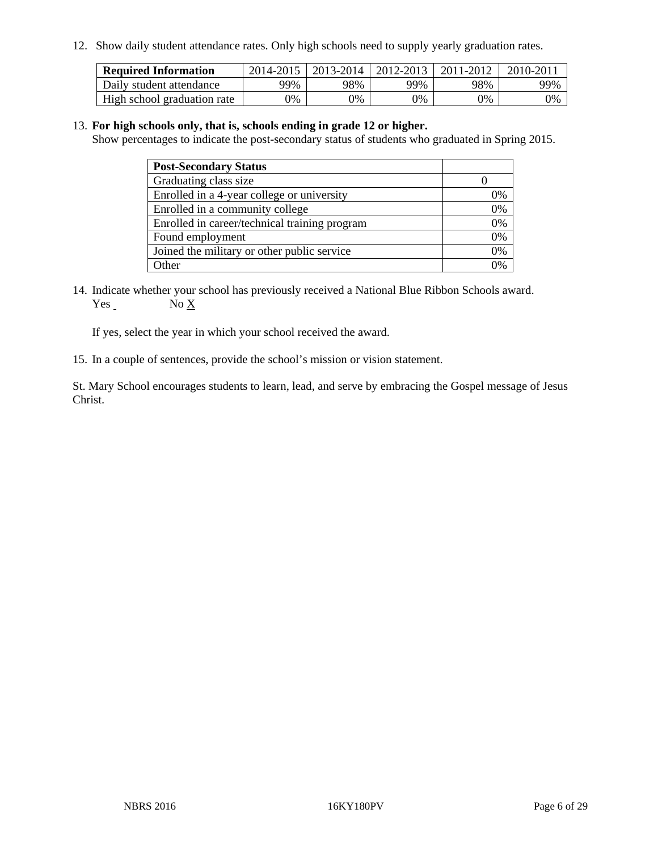12. Show daily student attendance rates. Only high schools need to supply yearly graduation rates.

| <b>Required Information</b> | 2014-2015 | $2013 - 2014$ | 2012-2013  | 2011-2012 | $2010 - 201$ |
|-----------------------------|-----------|---------------|------------|-----------|--------------|
| Daily student attendance    | 99%       | 98%           | 99%        | 98%       | 99%          |
| High school graduation rate | 9%        | 0%            | $\gamma$ % | 9%        | 0%           |

#### 13. **For high schools only, that is, schools ending in grade 12 or higher.**

Show percentages to indicate the post-secondary status of students who graduated in Spring 2015.

| <b>Post-Secondary Status</b>                  |              |
|-----------------------------------------------|--------------|
| Graduating class size                         |              |
| Enrolled in a 4-year college or university    | 0%           |
| Enrolled in a community college               | 0%           |
| Enrolled in career/technical training program | 0%           |
| Found employment                              | 0%           |
| Joined the military or other public service   | 0%           |
| Other                                         | $\gamma_{0}$ |

14. Indicate whether your school has previously received a National Blue Ribbon Schools award. Yes No X

If yes, select the year in which your school received the award.

15. In a couple of sentences, provide the school's mission or vision statement.

St. Mary School encourages students to learn, lead, and serve by embracing the Gospel message of Jesus Christ.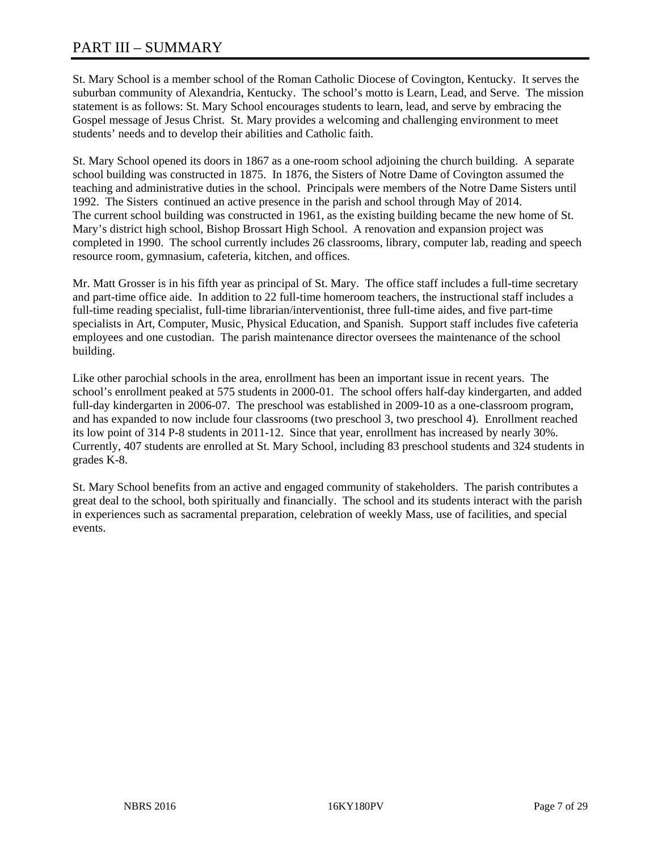St. Mary School is a member school of the Roman Catholic Diocese of Covington, Kentucky. It serves the suburban community of Alexandria, Kentucky. The school's motto is Learn, Lead, and Serve. The mission statement is as follows: St. Mary School encourages students to learn, lead, and serve by embracing the Gospel message of Jesus Christ. St. Mary provides a welcoming and challenging environment to meet students' needs and to develop their abilities and Catholic faith.

St. Mary School opened its doors in 1867 as a one-room school adjoining the church building. A separate school building was constructed in 1875. In 1876, the Sisters of Notre Dame of Covington assumed the teaching and administrative duties in the school. Principals were members of the Notre Dame Sisters until 1992. The Sisters continued an active presence in the parish and school through May of 2014. The current school building was constructed in 1961, as the existing building became the new home of St. Mary's district high school, Bishop Brossart High School. A renovation and expansion project was completed in 1990. The school currently includes 26 classrooms, library, computer lab, reading and speech resource room, gymnasium, cafeteria, kitchen, and offices.

Mr. Matt Grosser is in his fifth year as principal of St. Mary. The office staff includes a full-time secretary and part-time office aide. In addition to 22 full-time homeroom teachers, the instructional staff includes a full-time reading specialist, full-time librarian/interventionist, three full-time aides, and five part-time specialists in Art, Computer, Music, Physical Education, and Spanish. Support staff includes five cafeteria employees and one custodian. The parish maintenance director oversees the maintenance of the school building.

Like other parochial schools in the area, enrollment has been an important issue in recent years. The school's enrollment peaked at 575 students in 2000-01. The school offers half-day kindergarten, and added full-day kindergarten in 2006-07. The preschool was established in 2009-10 as a one-classroom program, and has expanded to now include four classrooms (two preschool 3, two preschool 4). Enrollment reached its low point of 314 P-8 students in 2011-12. Since that year, enrollment has increased by nearly 30%. Currently, 407 students are enrolled at St. Mary School, including 83 preschool students and 324 students in grades K-8.

St. Mary School benefits from an active and engaged community of stakeholders. The parish contributes a great deal to the school, both spiritually and financially. The school and its students interact with the parish in experiences such as sacramental preparation, celebration of weekly Mass, use of facilities, and special events.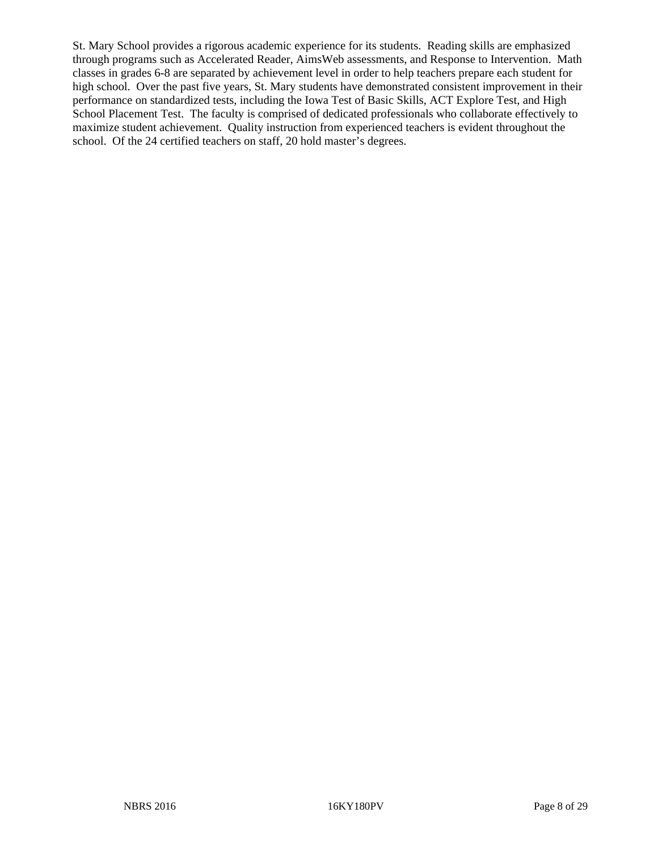St. Mary School provides a rigorous academic experience for its students. Reading skills are emphasized through programs such as Accelerated Reader, AimsWeb assessments, and Response to Intervention. Math classes in grades 6-8 are separated by achievement level in order to help teachers prepare each student for high school. Over the past five years, St. Mary students have demonstrated consistent improvement in their performance on standardized tests, including the Iowa Test of Basic Skills, ACT Explore Test, and High School Placement Test. The faculty is comprised of dedicated professionals who collaborate effectively to maximize student achievement. Quality instruction from experienced teachers is evident throughout the school. Of the 24 certified teachers on staff, 20 hold master's degrees.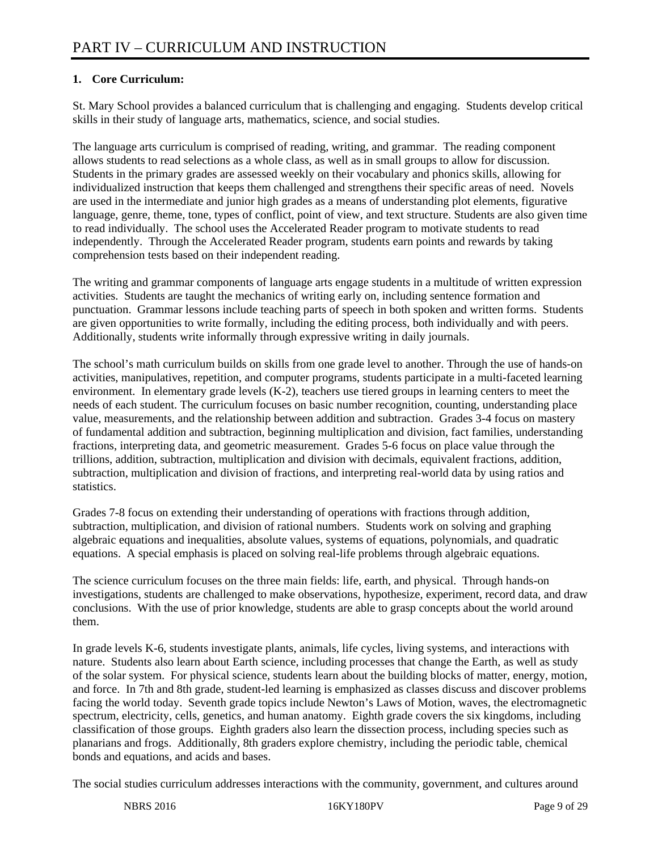## **1. Core Curriculum:**

St. Mary School provides a balanced curriculum that is challenging and engaging. Students develop critical skills in their study of language arts, mathematics, science, and social studies.

The language arts curriculum is comprised of reading, writing, and grammar. The reading component allows students to read selections as a whole class, as well as in small groups to allow for discussion. Students in the primary grades are assessed weekly on their vocabulary and phonics skills, allowing for individualized instruction that keeps them challenged and strengthens their specific areas of need. Novels are used in the intermediate and junior high grades as a means of understanding plot elements, figurative language, genre, theme, tone, types of conflict, point of view, and text structure. Students are also given time to read individually. The school uses the Accelerated Reader program to motivate students to read independently. Through the Accelerated Reader program, students earn points and rewards by taking comprehension tests based on their independent reading.

The writing and grammar components of language arts engage students in a multitude of written expression activities. Students are taught the mechanics of writing early on, including sentence formation and punctuation. Grammar lessons include teaching parts of speech in both spoken and written forms. Students are given opportunities to write formally, including the editing process, both individually and with peers. Additionally, students write informally through expressive writing in daily journals.

The school's math curriculum builds on skills from one grade level to another. Through the use of hands-on activities, manipulatives, repetition, and computer programs, students participate in a multi-faceted learning environment. In elementary grade levels (K-2), teachers use tiered groups in learning centers to meet the needs of each student. The curriculum focuses on basic number recognition, counting, understanding place value, measurements, and the relationship between addition and subtraction. Grades 3-4 focus on mastery of fundamental addition and subtraction, beginning multiplication and division, fact families, understanding fractions, interpreting data, and geometric measurement. Grades 5-6 focus on place value through the trillions, addition, subtraction, multiplication and division with decimals, equivalent fractions, addition, subtraction, multiplication and division of fractions, and interpreting real-world data by using ratios and statistics.

Grades 7-8 focus on extending their understanding of operations with fractions through addition, subtraction, multiplication, and division of rational numbers. Students work on solving and graphing algebraic equations and inequalities, absolute values, systems of equations, polynomials, and quadratic equations. A special emphasis is placed on solving real-life problems through algebraic equations.

The science curriculum focuses on the three main fields: life, earth, and physical. Through hands-on investigations, students are challenged to make observations, hypothesize, experiment, record data, and draw conclusions. With the use of prior knowledge, students are able to grasp concepts about the world around them.

In grade levels K-6, students investigate plants, animals, life cycles, living systems, and interactions with nature. Students also learn about Earth science, including processes that change the Earth, as well as study of the solar system. For physical science, students learn about the building blocks of matter, energy, motion, and force. In 7th and 8th grade, student-led learning is emphasized as classes discuss and discover problems facing the world today. Seventh grade topics include Newton's Laws of Motion, waves, the electromagnetic spectrum, electricity, cells, genetics, and human anatomy. Eighth grade covers the six kingdoms, including classification of those groups. Eighth graders also learn the dissection process, including species such as planarians and frogs. Additionally, 8th graders explore chemistry, including the periodic table, chemical bonds and equations, and acids and bases.

The social studies curriculum addresses interactions with the community, government, and cultures around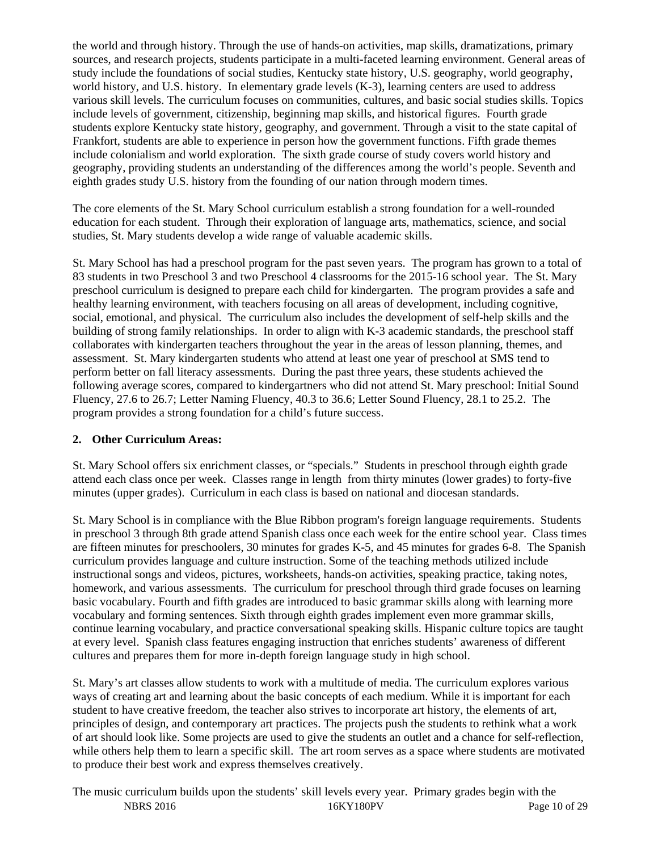the world and through history. Through the use of hands-on activities, map skills, dramatizations, primary sources, and research projects, students participate in a multi-faceted learning environment. General areas of study include the foundations of social studies, Kentucky state history, U.S. geography, world geography, world history, and U.S. history. In elementary grade levels (K-3), learning centers are used to address various skill levels. The curriculum focuses on communities, cultures, and basic social studies skills. Topics include levels of government, citizenship, beginning map skills, and historical figures. Fourth grade students explore Kentucky state history, geography, and government. Through a visit to the state capital of Frankfort, students are able to experience in person how the government functions. Fifth grade themes include colonialism and world exploration. The sixth grade course of study covers world history and geography, providing students an understanding of the differences among the world's people. Seventh and eighth grades study U.S. history from the founding of our nation through modern times.

The core elements of the St. Mary School curriculum establish a strong foundation for a well-rounded education for each student. Through their exploration of language arts, mathematics, science, and social studies, St. Mary students develop a wide range of valuable academic skills.

St. Mary School has had a preschool program for the past seven years. The program has grown to a total of 83 students in two Preschool 3 and two Preschool 4 classrooms for the 2015-16 school year. The St. Mary preschool curriculum is designed to prepare each child for kindergarten. The program provides a safe and healthy learning environment, with teachers focusing on all areas of development, including cognitive, social, emotional, and physical. The curriculum also includes the development of self-help skills and the building of strong family relationships. In order to align with K-3 academic standards, the preschool staff collaborates with kindergarten teachers throughout the year in the areas of lesson planning, themes, and assessment. St. Mary kindergarten students who attend at least one year of preschool at SMS tend to perform better on fall literacy assessments. During the past three years, these students achieved the following average scores, compared to kindergartners who did not attend St. Mary preschool: Initial Sound Fluency, 27.6 to 26.7; Letter Naming Fluency, 40.3 to 36.6; Letter Sound Fluency, 28.1 to 25.2. The program provides a strong foundation for a child's future success.

#### **2. Other Curriculum Areas:**

St. Mary School offers six enrichment classes, or "specials." Students in preschool through eighth grade attend each class once per week. Classes range in length from thirty minutes (lower grades) to forty-five minutes (upper grades). Curriculum in each class is based on national and diocesan standards.

St. Mary School is in compliance with the Blue Ribbon program's foreign language requirements. Students in preschool 3 through 8th grade attend Spanish class once each week for the entire school year. Class times are fifteen minutes for preschoolers, 30 minutes for grades K-5, and 45 minutes for grades 6-8. The Spanish curriculum provides language and culture instruction. Some of the teaching methods utilized include instructional songs and videos, pictures, worksheets, hands-on activities, speaking practice, taking notes, homework, and various assessments. The curriculum for preschool through third grade focuses on learning basic vocabulary. Fourth and fifth grades are introduced to basic grammar skills along with learning more vocabulary and forming sentences. Sixth through eighth grades implement even more grammar skills, continue learning vocabulary, and practice conversational speaking skills. Hispanic culture topics are taught at every level. Spanish class features engaging instruction that enriches students' awareness of different cultures and prepares them for more in-depth foreign language study in high school.

St. Mary's art classes allow students to work with a multitude of media. The curriculum explores various ways of creating art and learning about the basic concepts of each medium. While it is important for each student to have creative freedom, the teacher also strives to incorporate art history, the elements of art, principles of design, and contemporary art practices. The projects push the students to rethink what a work of art should look like. Some projects are used to give the students an outlet and a chance for self-reflection, while others help them to learn a specific skill. The art room serves as a space where students are motivated to produce their best work and express themselves creatively.

NBRS 2016 16KY180PV Page 10 of 29 The music curriculum builds upon the students' skill levels every year. Primary grades begin with the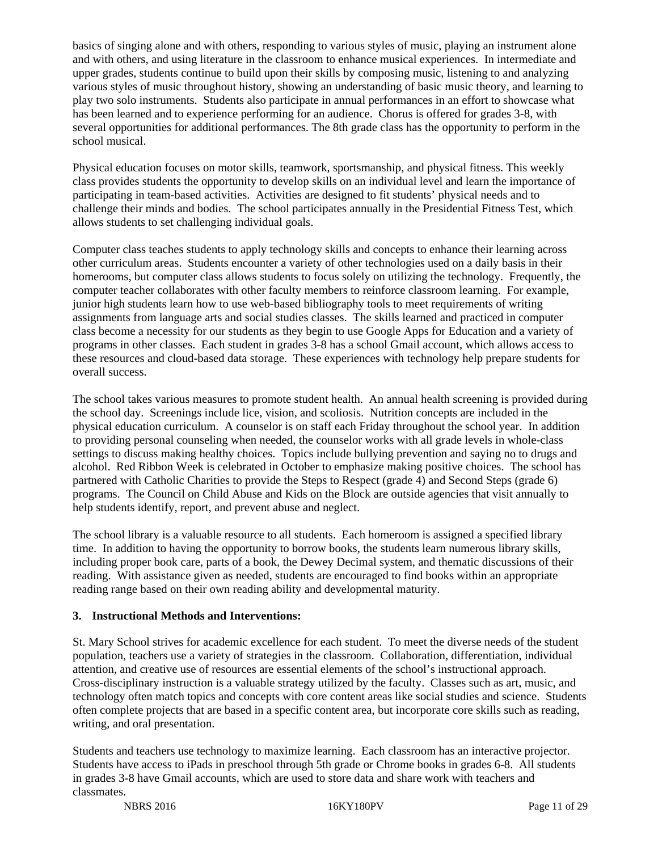basics of singing alone and with others, responding to various styles of music, playing an instrument alone and with others, and using literature in the classroom to enhance musical experiences. In intermediate and upper grades, students continue to build upon their skills by composing music, listening to and analyzing various styles of music throughout history, showing an understanding of basic music theory, and learning to play two solo instruments. Students also participate in annual performances in an effort to showcase what has been learned and to experience performing for an audience. Chorus is offered for grades 3-8, with several opportunities for additional performances. The 8th grade class has the opportunity to perform in the school musical.

Physical education focuses on motor skills, teamwork, sportsmanship, and physical fitness. This weekly class provides students the opportunity to develop skills on an individual level and learn the importance of participating in team-based activities. Activities are designed to fit students' physical needs and to challenge their minds and bodies. The school participates annually in the Presidential Fitness Test, which allows students to set challenging individual goals.

Computer class teaches students to apply technology skills and concepts to enhance their learning across other curriculum areas. Students encounter a variety of other technologies used on a daily basis in their homerooms, but computer class allows students to focus solely on utilizing the technology. Frequently, the computer teacher collaborates with other faculty members to reinforce classroom learning. For example, junior high students learn how to use web-based bibliography tools to meet requirements of writing assignments from language arts and social studies classes. The skills learned and practiced in computer class become a necessity for our students as they begin to use Google Apps for Education and a variety of programs in other classes. Each student in grades 3-8 has a school Gmail account, which allows access to these resources and cloud-based data storage. These experiences with technology help prepare students for overall success.

The school takes various measures to promote student health. An annual health screening is provided during the school day. Screenings include lice, vision, and scoliosis. Nutrition concepts are included in the physical education curriculum. A counselor is on staff each Friday throughout the school year. In addition to providing personal counseling when needed, the counselor works with all grade levels in whole-class settings to discuss making healthy choices. Topics include bullying prevention and saying no to drugs and alcohol. Red Ribbon Week is celebrated in October to emphasize making positive choices. The school has partnered with Catholic Charities to provide the Steps to Respect (grade 4) and Second Steps (grade 6) programs. The Council on Child Abuse and Kids on the Block are outside agencies that visit annually to help students identify, report, and prevent abuse and neglect.

The school library is a valuable resource to all students. Each homeroom is assigned a specified library time. In addition to having the opportunity to borrow books, the students learn numerous library skills, including proper book care, parts of a book, the Dewey Decimal system, and thematic discussions of their reading. With assistance given as needed, students are encouraged to find books within an appropriate reading range based on their own reading ability and developmental maturity.

#### **3. Instructional Methods and Interventions:**

St. Mary School strives for academic excellence for each student. To meet the diverse needs of the student population, teachers use a variety of strategies in the classroom. Collaboration, differentiation, individual attention, and creative use of resources are essential elements of the school's instructional approach. Cross-disciplinary instruction is a valuable strategy utilized by the faculty. Classes such as art, music, and technology often match topics and concepts with core content areas like social studies and science. Students often complete projects that are based in a specific content area, but incorporate core skills such as reading, writing, and oral presentation.

Students and teachers use technology to maximize learning. Each classroom has an interactive projector. Students have access to iPads in preschool through 5th grade or Chrome books in grades 6-8. All students in grades 3-8 have Gmail accounts, which are used to store data and share work with teachers and classmates.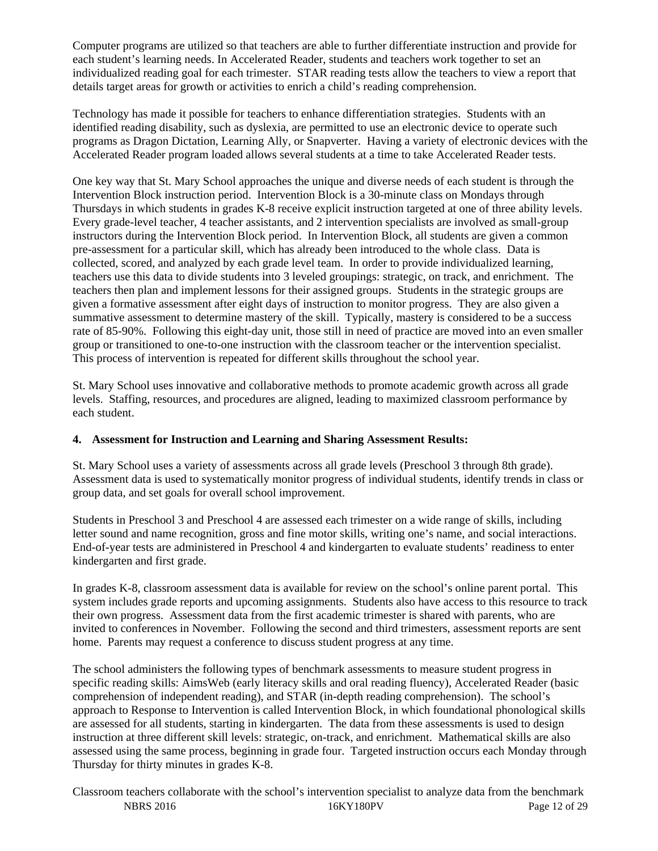Computer programs are utilized so that teachers are able to further differentiate instruction and provide for each student's learning needs. In Accelerated Reader, students and teachers work together to set an individualized reading goal for each trimester. STAR reading tests allow the teachers to view a report that details target areas for growth or activities to enrich a child's reading comprehension.

Technology has made it possible for teachers to enhance differentiation strategies. Students with an identified reading disability, such as dyslexia, are permitted to use an electronic device to operate such programs as Dragon Dictation, Learning Ally, or Snapverter. Having a variety of electronic devices with the Accelerated Reader program loaded allows several students at a time to take Accelerated Reader tests.

One key way that St. Mary School approaches the unique and diverse needs of each student is through the Intervention Block instruction period. Intervention Block is a 30-minute class on Mondays through Thursdays in which students in grades K-8 receive explicit instruction targeted at one of three ability levels. Every grade-level teacher, 4 teacher assistants, and 2 intervention specialists are involved as small-group instructors during the Intervention Block period. In Intervention Block, all students are given a common pre-assessment for a particular skill, which has already been introduced to the whole class. Data is collected, scored, and analyzed by each grade level team. In order to provide individualized learning, teachers use this data to divide students into 3 leveled groupings: strategic, on track, and enrichment. The teachers then plan and implement lessons for their assigned groups. Students in the strategic groups are given a formative assessment after eight days of instruction to monitor progress. They are also given a summative assessment to determine mastery of the skill. Typically, mastery is considered to be a success rate of 85-90%. Following this eight-day unit, those still in need of practice are moved into an even smaller group or transitioned to one-to-one instruction with the classroom teacher or the intervention specialist. This process of intervention is repeated for different skills throughout the school year.

St. Mary School uses innovative and collaborative methods to promote academic growth across all grade levels. Staffing, resources, and procedures are aligned, leading to maximized classroom performance by each student.

## **4. Assessment for Instruction and Learning and Sharing Assessment Results:**

St. Mary School uses a variety of assessments across all grade levels (Preschool 3 through 8th grade). Assessment data is used to systematically monitor progress of individual students, identify trends in class or group data, and set goals for overall school improvement.

Students in Preschool 3 and Preschool 4 are assessed each trimester on a wide range of skills, including letter sound and name recognition, gross and fine motor skills, writing one's name, and social interactions. End-of-year tests are administered in Preschool 4 and kindergarten to evaluate students' readiness to enter kindergarten and first grade.

In grades K-8, classroom assessment data is available for review on the school's online parent portal. This system includes grade reports and upcoming assignments. Students also have access to this resource to track their own progress. Assessment data from the first academic trimester is shared with parents, who are invited to conferences in November. Following the second and third trimesters, assessment reports are sent home. Parents may request a conference to discuss student progress at any time.

The school administers the following types of benchmark assessments to measure student progress in specific reading skills: AimsWeb (early literacy skills and oral reading fluency), Accelerated Reader (basic comprehension of independent reading), and STAR (in-depth reading comprehension). The school's approach to Response to Intervention is called Intervention Block, in which foundational phonological skills are assessed for all students, starting in kindergarten. The data from these assessments is used to design instruction at three different skill levels: strategic, on-track, and enrichment. Mathematical skills are also assessed using the same process, beginning in grade four. Targeted instruction occurs each Monday through Thursday for thirty minutes in grades K-8.

NBRS 2016 16KY180PV Page 12 of 29 Classroom teachers collaborate with the school's intervention specialist to analyze data from the benchmark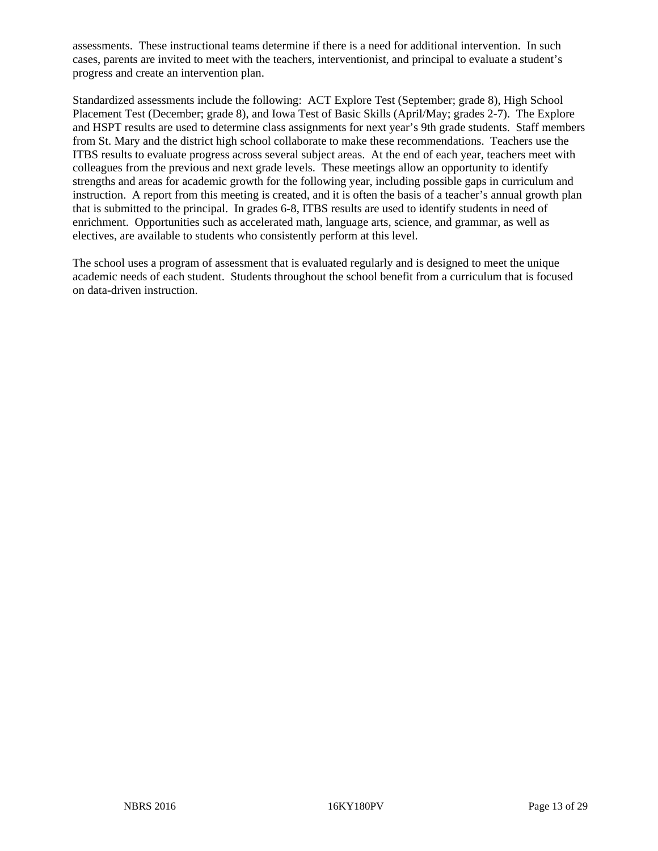assessments. These instructional teams determine if there is a need for additional intervention. In such cases, parents are invited to meet with the teachers, interventionist, and principal to evaluate a student's progress and create an intervention plan.

Standardized assessments include the following: ACT Explore Test (September; grade 8), High School Placement Test (December; grade 8), and Iowa Test of Basic Skills (April/May; grades 2-7). The Explore and HSPT results are used to determine class assignments for next year's 9th grade students. Staff members from St. Mary and the district high school collaborate to make these recommendations. Teachers use the ITBS results to evaluate progress across several subject areas. At the end of each year, teachers meet with colleagues from the previous and next grade levels. These meetings allow an opportunity to identify strengths and areas for academic growth for the following year, including possible gaps in curriculum and instruction. A report from this meeting is created, and it is often the basis of a teacher's annual growth plan that is submitted to the principal. In grades 6-8, ITBS results are used to identify students in need of enrichment. Opportunities such as accelerated math, language arts, science, and grammar, as well as electives, are available to students who consistently perform at this level.

The school uses a program of assessment that is evaluated regularly and is designed to meet the unique academic needs of each student. Students throughout the school benefit from a curriculum that is focused on data-driven instruction.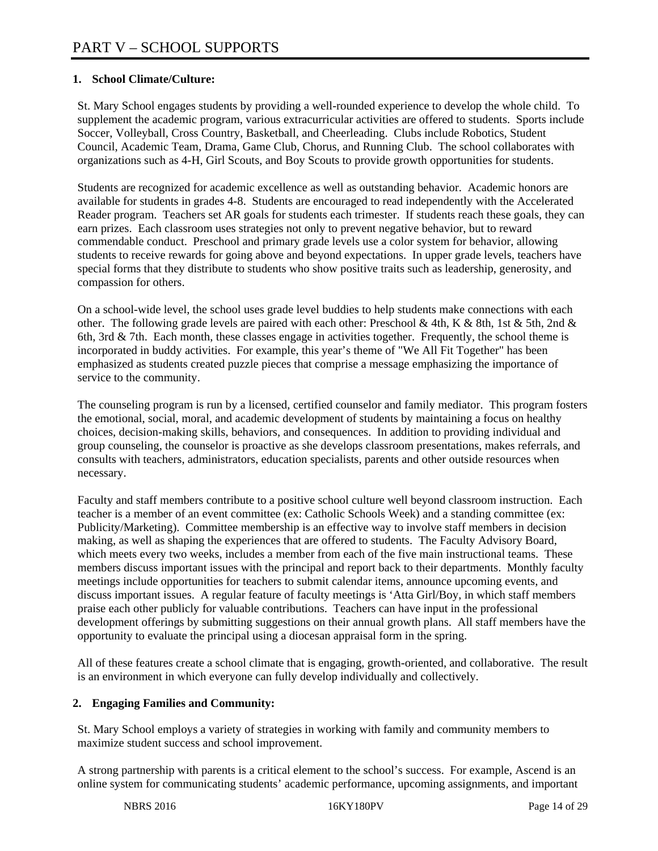#### **1. School Climate/Culture:**

St. Mary School engages students by providing a well-rounded experience to develop the whole child. To supplement the academic program, various extracurricular activities are offered to students. Sports include Soccer, Volleyball, Cross Country, Basketball, and Cheerleading. Clubs include Robotics, Student Council, Academic Team, Drama, Game Club, Chorus, and Running Club. The school collaborates with organizations such as 4-H, Girl Scouts, and Boy Scouts to provide growth opportunities for students.

Students are recognized for academic excellence as well as outstanding behavior. Academic honors are available for students in grades 4-8. Students are encouraged to read independently with the Accelerated Reader program. Teachers set AR goals for students each trimester. If students reach these goals, they can earn prizes. Each classroom uses strategies not only to prevent negative behavior, but to reward commendable conduct. Preschool and primary grade levels use a color system for behavior, allowing students to receive rewards for going above and beyond expectations. In upper grade levels, teachers have special forms that they distribute to students who show positive traits such as leadership, generosity, and compassion for others.

On a school-wide level, the school uses grade level buddies to help students make connections with each other. The following grade levels are paired with each other: Preschool & 4th, K & 8th, 1st & 5th, 2nd & 6th, 3rd & 7th. Each month, these classes engage in activities together. Frequently, the school theme is incorporated in buddy activities. For example, this year's theme of "We All Fit Together" has been emphasized as students created puzzle pieces that comprise a message emphasizing the importance of service to the community.

The counseling program is run by a licensed, certified counselor and family mediator. This program fosters the emotional, social, moral, and academic development of students by maintaining a focus on healthy choices, decision-making skills, behaviors, and consequences. In addition to providing individual and group counseling, the counselor is proactive as she develops classroom presentations, makes referrals, and consults with teachers, administrators, education specialists, parents and other outside resources when necessary.

Faculty and staff members contribute to a positive school culture well beyond classroom instruction. Each teacher is a member of an event committee (ex: Catholic Schools Week) and a standing committee (ex: Publicity/Marketing). Committee membership is an effective way to involve staff members in decision making, as well as shaping the experiences that are offered to students. The Faculty Advisory Board, which meets every two weeks, includes a member from each of the five main instructional teams. These members discuss important issues with the principal and report back to their departments. Monthly faculty meetings include opportunities for teachers to submit calendar items, announce upcoming events, and discuss important issues. A regular feature of faculty meetings is 'Atta Girl/Boy, in which staff members praise each other publicly for valuable contributions. Teachers can have input in the professional development offerings by submitting suggestions on their annual growth plans. All staff members have the opportunity to evaluate the principal using a diocesan appraisal form in the spring.

All of these features create a school climate that is engaging, growth-oriented, and collaborative. The result is an environment in which everyone can fully develop individually and collectively.

#### **2. Engaging Families and Community:**

St. Mary School employs a variety of strategies in working with family and community members to maximize student success and school improvement.

A strong partnership with parents is a critical element to the school's success. For example, Ascend is an online system for communicating students' academic performance, upcoming assignments, and important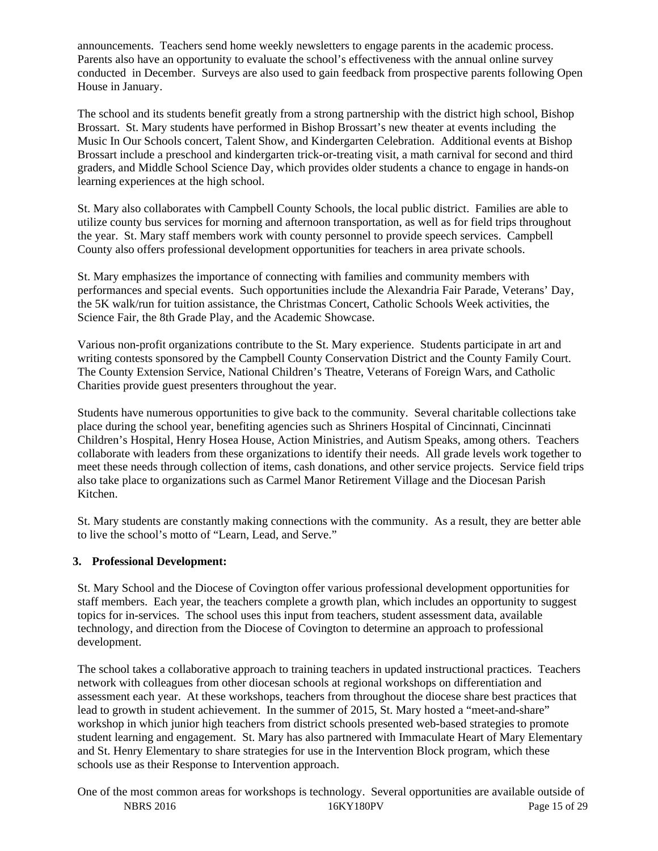announcements. Teachers send home weekly newsletters to engage parents in the academic process. Parents also have an opportunity to evaluate the school's effectiveness with the annual online survey conducted in December. Surveys are also used to gain feedback from prospective parents following Open House in January.

The school and its students benefit greatly from a strong partnership with the district high school, Bishop Brossart. St. Mary students have performed in Bishop Brossart's new theater at events including the Music In Our Schools concert, Talent Show, and Kindergarten Celebration. Additional events at Bishop Brossart include a preschool and kindergarten trick-or-treating visit, a math carnival for second and third graders, and Middle School Science Day, which provides older students a chance to engage in hands-on learning experiences at the high school.

St. Mary also collaborates with Campbell County Schools, the local public district. Families are able to utilize county bus services for morning and afternoon transportation, as well as for field trips throughout the year. St. Mary staff members work with county personnel to provide speech services. Campbell County also offers professional development opportunities for teachers in area private schools.

St. Mary emphasizes the importance of connecting with families and community members with performances and special events. Such opportunities include the Alexandria Fair Parade, Veterans' Day, the 5K walk/run for tuition assistance, the Christmas Concert, Catholic Schools Week activities, the Science Fair, the 8th Grade Play, and the Academic Showcase.

Various non-profit organizations contribute to the St. Mary experience. Students participate in art and writing contests sponsored by the Campbell County Conservation District and the County Family Court. The County Extension Service, National Children's Theatre, Veterans of Foreign Wars, and Catholic Charities provide guest presenters throughout the year.

Students have numerous opportunities to give back to the community. Several charitable collections take place during the school year, benefiting agencies such as Shriners Hospital of Cincinnati, Cincinnati Children's Hospital, Henry Hosea House, Action Ministries, and Autism Speaks, among others. Teachers collaborate with leaders from these organizations to identify their needs. All grade levels work together to meet these needs through collection of items, cash donations, and other service projects. Service field trips also take place to organizations such as Carmel Manor Retirement Village and the Diocesan Parish Kitchen.

St. Mary students are constantly making connections with the community. As a result, they are better able to live the school's motto of "Learn, Lead, and Serve."

#### **3. Professional Development:**

St. Mary School and the Diocese of Covington offer various professional development opportunities for staff members. Each year, the teachers complete a growth plan, which includes an opportunity to suggest topics for in-services. The school uses this input from teachers, student assessment data, available technology, and direction from the Diocese of Covington to determine an approach to professional development.

The school takes a collaborative approach to training teachers in updated instructional practices. Teachers network with colleagues from other diocesan schools at regional workshops on differentiation and assessment each year. At these workshops, teachers from throughout the diocese share best practices that lead to growth in student achievement. In the summer of 2015, St. Mary hosted a "meet-and-share" workshop in which junior high teachers from district schools presented web-based strategies to promote student learning and engagement. St. Mary has also partnered with Immaculate Heart of Mary Elementary and St. Henry Elementary to share strategies for use in the Intervention Block program, which these schools use as their Response to Intervention approach.

NBRS 2016 2016 16KY180PV Page 15 of 29 One of the most common areas for workshops is technology. Several opportunities are available outside of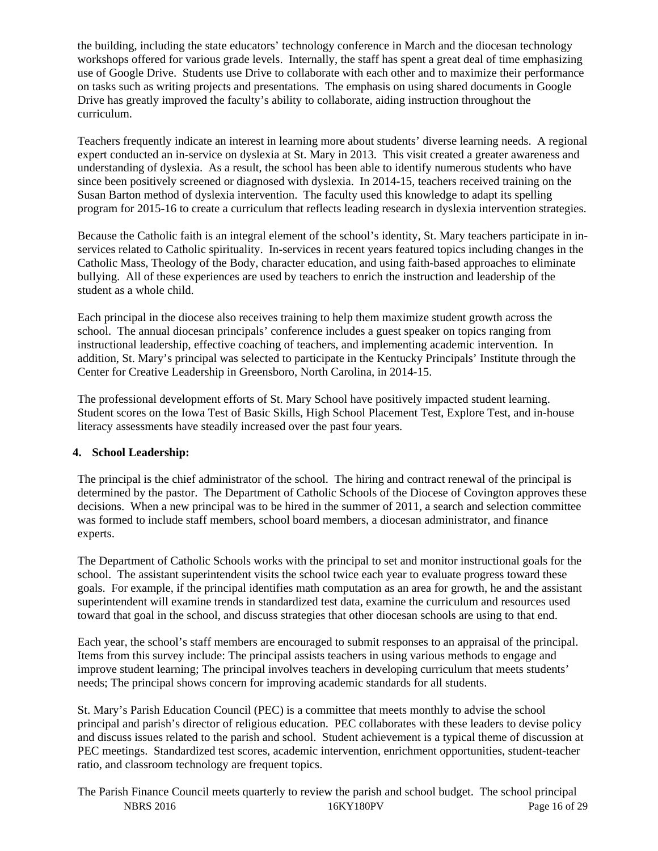the building, including the state educators' technology conference in March and the diocesan technology workshops offered for various grade levels. Internally, the staff has spent a great deal of time emphasizing use of Google Drive. Students use Drive to collaborate with each other and to maximize their performance on tasks such as writing projects and presentations. The emphasis on using shared documents in Google Drive has greatly improved the faculty's ability to collaborate, aiding instruction throughout the curriculum.

Teachers frequently indicate an interest in learning more about students' diverse learning needs. A regional expert conducted an in-service on dyslexia at St. Mary in 2013. This visit created a greater awareness and understanding of dyslexia. As a result, the school has been able to identify numerous students who have since been positively screened or diagnosed with dyslexia. In 2014-15, teachers received training on the Susan Barton method of dyslexia intervention. The faculty used this knowledge to adapt its spelling program for 2015-16 to create a curriculum that reflects leading research in dyslexia intervention strategies.

Because the Catholic faith is an integral element of the school's identity, St. Mary teachers participate in inservices related to Catholic spirituality. In-services in recent years featured topics including changes in the Catholic Mass, Theology of the Body, character education, and using faith-based approaches to eliminate bullying. All of these experiences are used by teachers to enrich the instruction and leadership of the student as a whole child.

Each principal in the diocese also receives training to help them maximize student growth across the school. The annual diocesan principals' conference includes a guest speaker on topics ranging from instructional leadership, effective coaching of teachers, and implementing academic intervention. In addition, St. Mary's principal was selected to participate in the Kentucky Principals' Institute through the Center for Creative Leadership in Greensboro, North Carolina, in 2014-15.

The professional development efforts of St. Mary School have positively impacted student learning. Student scores on the Iowa Test of Basic Skills, High School Placement Test, Explore Test, and in-house literacy assessments have steadily increased over the past four years.

## **4. School Leadership:**

The principal is the chief administrator of the school. The hiring and contract renewal of the principal is determined by the pastor. The Department of Catholic Schools of the Diocese of Covington approves these decisions. When a new principal was to be hired in the summer of 2011, a search and selection committee was formed to include staff members, school board members, a diocesan administrator, and finance experts.

The Department of Catholic Schools works with the principal to set and monitor instructional goals for the school. The assistant superintendent visits the school twice each year to evaluate progress toward these goals. For example, if the principal identifies math computation as an area for growth, he and the assistant superintendent will examine trends in standardized test data, examine the curriculum and resources used toward that goal in the school, and discuss strategies that other diocesan schools are using to that end.

Each year, the school's staff members are encouraged to submit responses to an appraisal of the principal. Items from this survey include: The principal assists teachers in using various methods to engage and improve student learning; The principal involves teachers in developing curriculum that meets students' needs; The principal shows concern for improving academic standards for all students.

St. Mary's Parish Education Council (PEC) is a committee that meets monthly to advise the school principal and parish's director of religious education. PEC collaborates with these leaders to devise policy and discuss issues related to the parish and school. Student achievement is a typical theme of discussion at PEC meetings. Standardized test scores, academic intervention, enrichment opportunities, student-teacher ratio, and classroom technology are frequent topics.

NBRS 2016 29 16KY180PV Page 16 of 29 The Parish Finance Council meets quarterly to review the parish and school budget. The school principal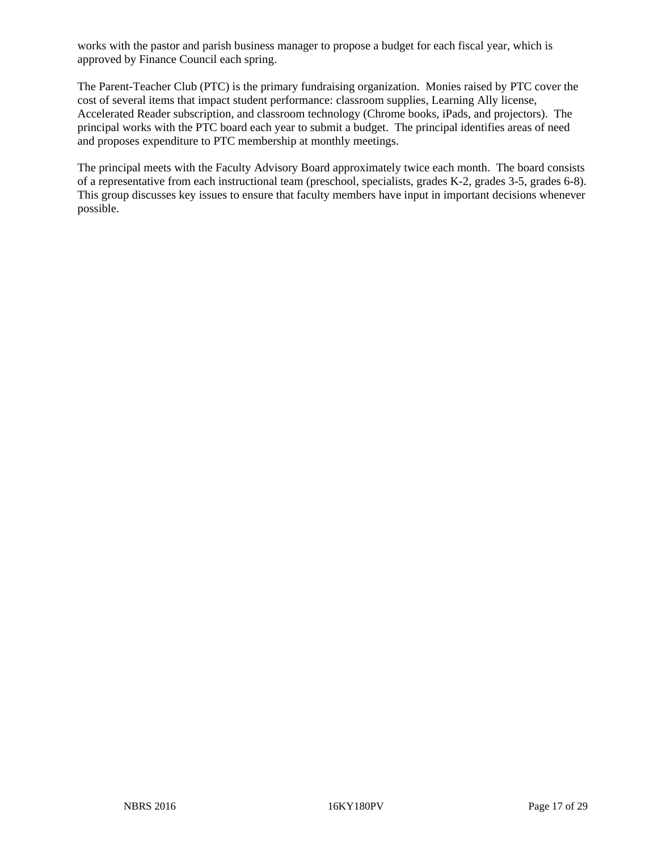works with the pastor and parish business manager to propose a budget for each fiscal year, which is approved by Finance Council each spring.

The Parent-Teacher Club (PTC) is the primary fundraising organization. Monies raised by PTC cover the cost of several items that impact student performance: classroom supplies, Learning Ally license, Accelerated Reader subscription, and classroom technology (Chrome books, iPads, and projectors). The principal works with the PTC board each year to submit a budget. The principal identifies areas of need and proposes expenditure to PTC membership at monthly meetings.

The principal meets with the Faculty Advisory Board approximately twice each month. The board consists of a representative from each instructional team (preschool, specialists, grades K-2, grades 3-5, grades 6-8). This group discusses key issues to ensure that faculty members have input in important decisions whenever possible.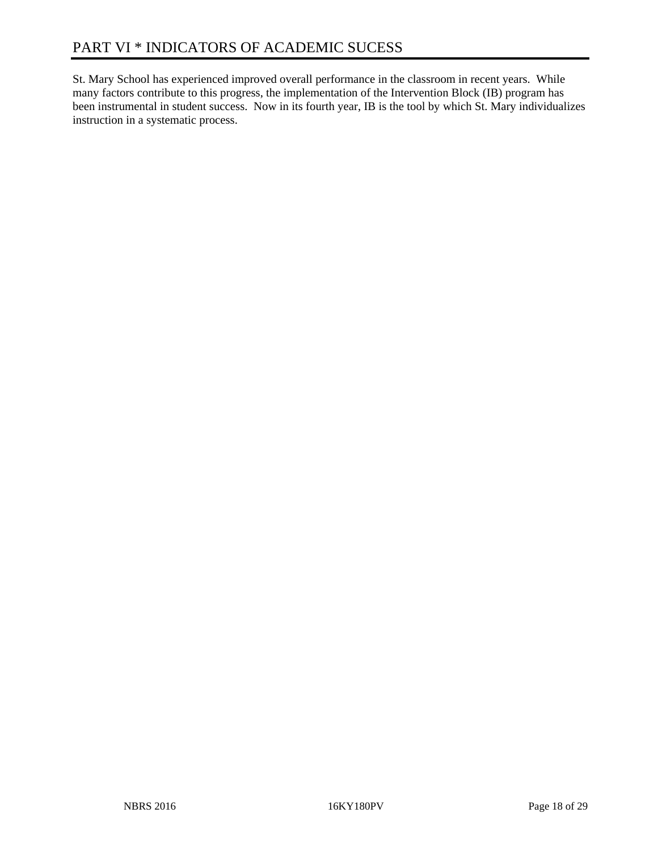St. Mary School has experienced improved overall performance in the classroom in recent years. While many factors contribute to this progress, the implementation of the Intervention Block (IB) program has been instrumental in student success. Now in its fourth year, IB is the tool by which St. Mary individualizes instruction in a systematic process.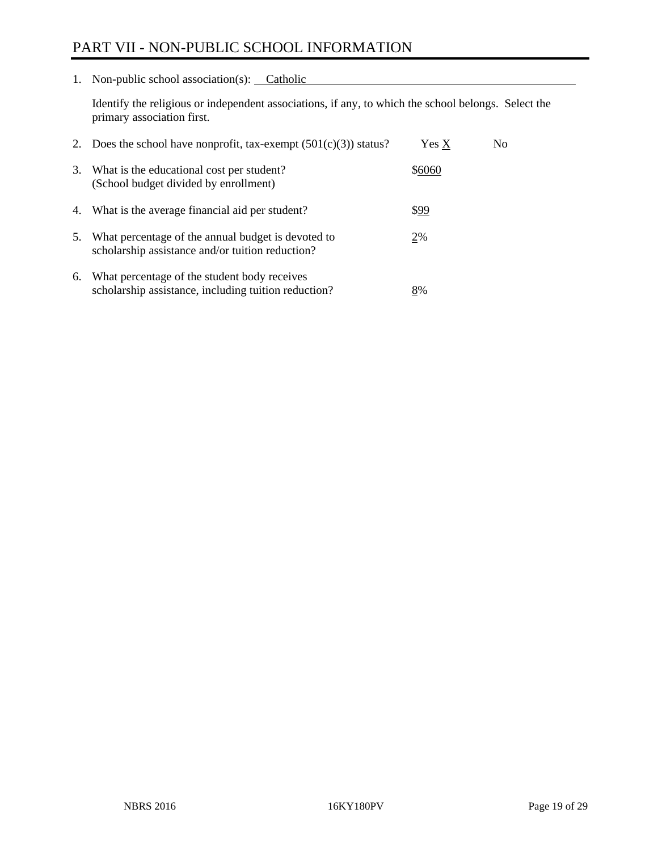## PART VII - NON-PUBLIC SCHOOL INFORMATION

1. Non-public school association(s): Catholic

Identify the religious or independent associations, if any, to which the school belongs. Select the primary association first.

| 2. | Does the school have nonprofit, tax-exempt $(501(c)(3))$ status?                                       | Yes X  | No. |
|----|--------------------------------------------------------------------------------------------------------|--------|-----|
| 3. | What is the educational cost per student?<br>(School budget divided by enrollment)                     | \$6060 |     |
| 4. | What is the average financial aid per student?                                                         | \$99   |     |
| 5. | What percentage of the annual budget is devoted to<br>scholarship assistance and/or tuition reduction? | 2%     |     |
| 6. | What percentage of the student body receives<br>scholarship assistance, including tuition reduction?   | 8%     |     |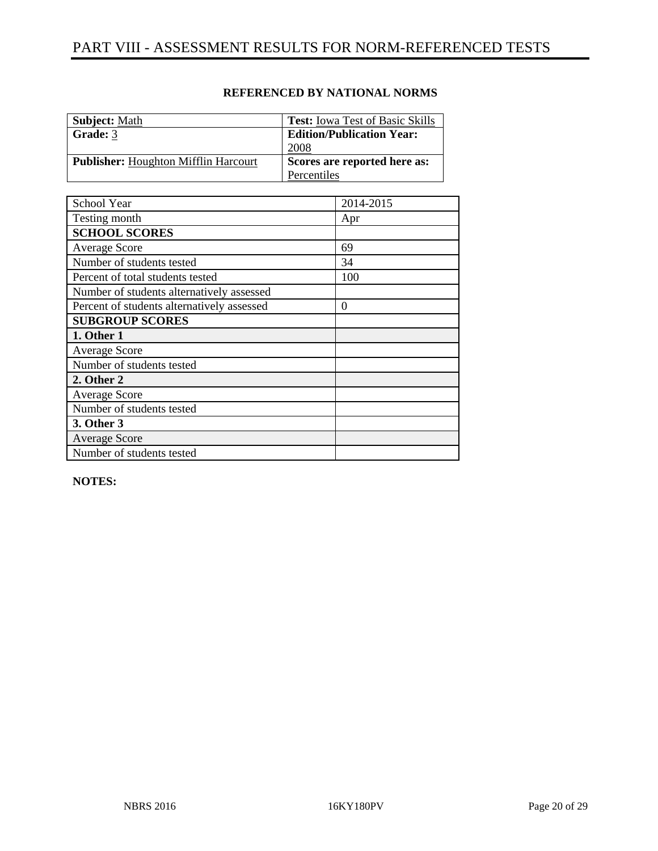| <b>Subject: Math</b>                        | <b>Test:</b> Iowa Test of Basic Skills |
|---------------------------------------------|----------------------------------------|
| Grade: 3                                    | <b>Edition/Publication Year:</b>       |
|                                             | 2008                                   |
| <b>Publisher:</b> Houghton Mifflin Harcourt | Scores are reported here as:           |
|                                             | Percentiles                            |

| School Year                                | 2014-2015 |
|--------------------------------------------|-----------|
| Testing month                              | Apr       |
| <b>SCHOOL SCORES</b>                       |           |
| <b>Average Score</b>                       | 69        |
| Number of students tested                  | 34        |
| Percent of total students tested           | 100       |
| Number of students alternatively assessed  |           |
| Percent of students alternatively assessed | 0         |
| <b>SUBGROUP SCORES</b>                     |           |
| 1. Other 1                                 |           |
| <b>Average Score</b>                       |           |
| Number of students tested                  |           |
| 2. Other 2                                 |           |
| <b>Average Score</b>                       |           |
| Number of students tested                  |           |
| 3. Other 3                                 |           |
| <b>Average Score</b>                       |           |
| Number of students tested                  |           |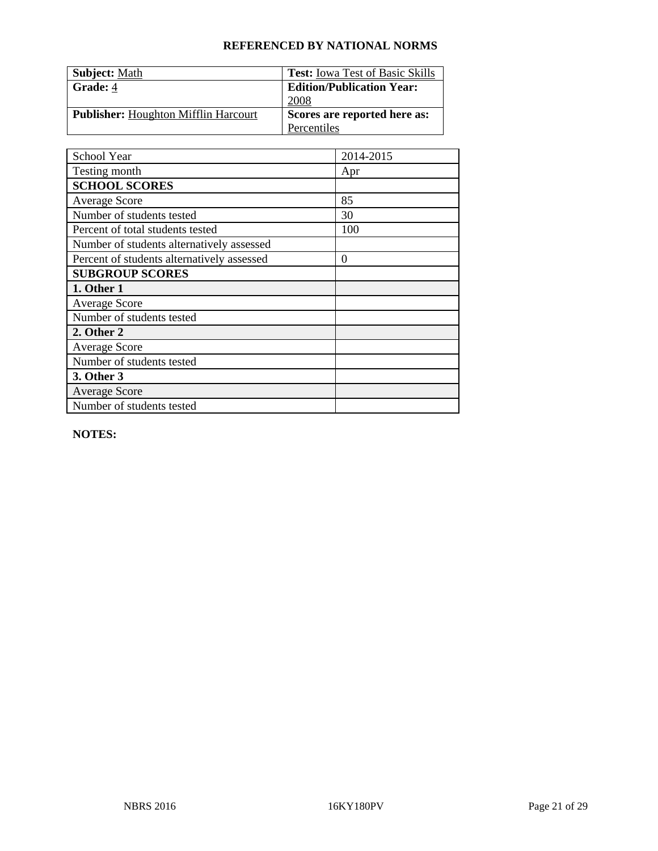| <b>Subject:</b> Math                        | <b>Test:</b> Iowa Test of Basic Skills |
|---------------------------------------------|----------------------------------------|
| Grade: 4                                    | <b>Edition/Publication Year:</b>       |
|                                             | 2008                                   |
| <b>Publisher:</b> Houghton Mifflin Harcourt | Scores are reported here as:           |
|                                             | Percentiles                            |

| School Year                                | 2014-2015 |
|--------------------------------------------|-----------|
| Testing month                              | Apr       |
| <b>SCHOOL SCORES</b>                       |           |
| <b>Average Score</b>                       | 85        |
| Number of students tested                  | 30        |
| Percent of total students tested           | 100       |
| Number of students alternatively assessed  |           |
| Percent of students alternatively assessed | $\theta$  |
| <b>SUBGROUP SCORES</b>                     |           |
| 1. Other 1                                 |           |
| <b>Average Score</b>                       |           |
| Number of students tested                  |           |
| 2. Other 2                                 |           |
| <b>Average Score</b>                       |           |
| Number of students tested                  |           |
| 3. Other 3                                 |           |
| <b>Average Score</b>                       |           |
| Number of students tested                  |           |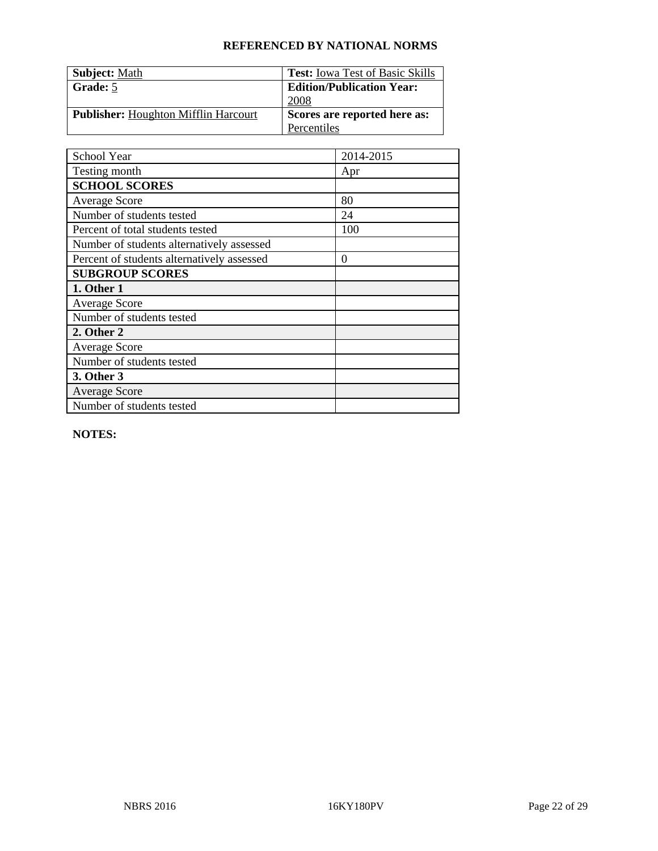| <b>Subject:</b> Math                        | <b>Test:</b> Iowa Test of Basic Skills |
|---------------------------------------------|----------------------------------------|
| Grade: 5                                    | <b>Edition/Publication Year:</b>       |
|                                             | 2008                                   |
| <b>Publisher:</b> Houghton Mifflin Harcourt | Scores are reported here as:           |
|                                             | Percentiles                            |

| School Year                                | 2014-2015 |
|--------------------------------------------|-----------|
| Testing month                              | Apr       |
| <b>SCHOOL SCORES</b>                       |           |
| <b>Average Score</b>                       | 80        |
| Number of students tested                  | 24        |
| Percent of total students tested           | 100       |
| Number of students alternatively assessed  |           |
| Percent of students alternatively assessed | $\theta$  |
| <b>SUBGROUP SCORES</b>                     |           |
| 1. Other 1                                 |           |
| <b>Average Score</b>                       |           |
| Number of students tested                  |           |
| 2. Other 2                                 |           |
| <b>Average Score</b>                       |           |
| Number of students tested                  |           |
| 3. Other 3                                 |           |
| <b>Average Score</b>                       |           |
| Number of students tested                  |           |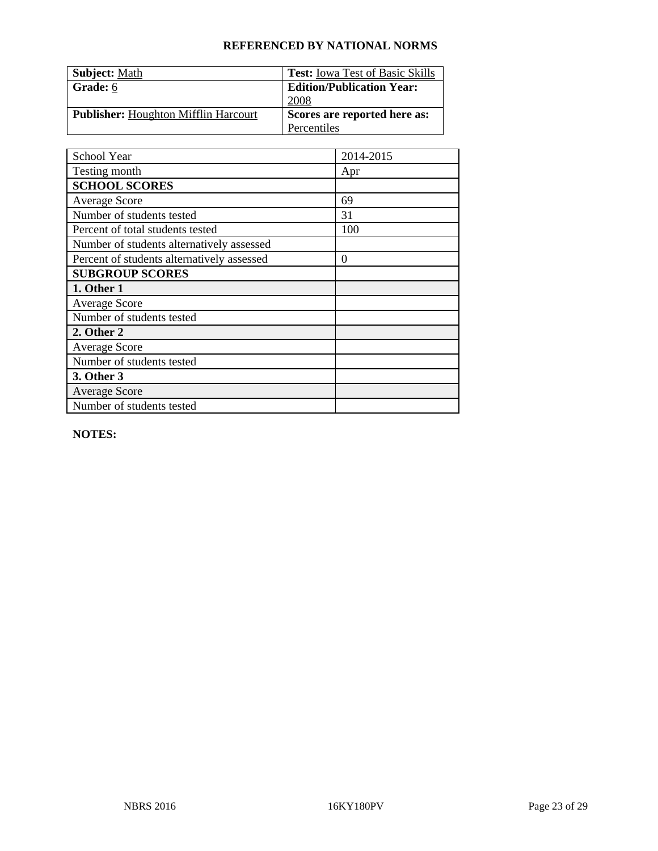| <b>Subject:</b> Math                        | <b>Test:</b> Iowa Test of Basic Skills |
|---------------------------------------------|----------------------------------------|
| Grade: 6                                    | <b>Edition/Publication Year:</b>       |
|                                             | 2008                                   |
| <b>Publisher:</b> Houghton Mifflin Harcourt | Scores are reported here as:           |
|                                             | Percentiles                            |

| School Year                                | 2014-2015 |
|--------------------------------------------|-----------|
| Testing month                              | Apr       |
| <b>SCHOOL SCORES</b>                       |           |
| <b>Average Score</b>                       | 69        |
| Number of students tested                  | 31        |
| Percent of total students tested           | 100       |
| Number of students alternatively assessed  |           |
| Percent of students alternatively assessed | $\theta$  |
| <b>SUBGROUP SCORES</b>                     |           |
| 1. Other 1                                 |           |
| <b>Average Score</b>                       |           |
| Number of students tested                  |           |
| 2. Other 2                                 |           |
| <b>Average Score</b>                       |           |
| Number of students tested                  |           |
| 3. Other 3                                 |           |
| <b>Average Score</b>                       |           |
| Number of students tested                  |           |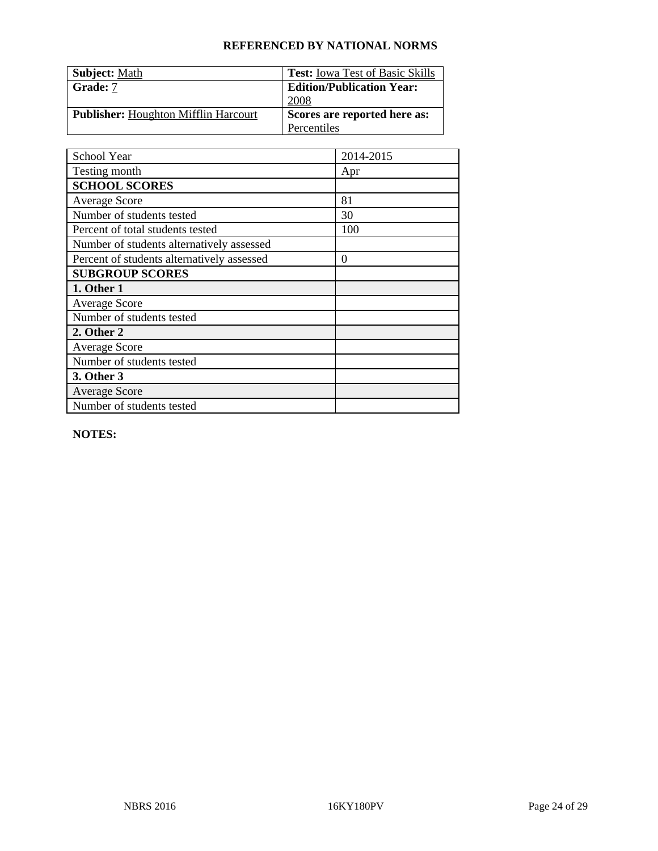| <b>Subject:</b> Math                        | <b>Test:</b> Iowa Test of Basic Skills |
|---------------------------------------------|----------------------------------------|
| Grade: 7                                    | <b>Edition/Publication Year:</b>       |
|                                             | 2008                                   |
| <b>Publisher:</b> Houghton Mifflin Harcourt | Scores are reported here as:           |
|                                             | Percentiles                            |

| School Year                                | 2014-2015 |
|--------------------------------------------|-----------|
| Testing month                              | Apr       |
| <b>SCHOOL SCORES</b>                       |           |
| <b>Average Score</b>                       | 81        |
| Number of students tested                  | 30        |
| Percent of total students tested           | 100       |
| Number of students alternatively assessed  |           |
| Percent of students alternatively assessed | $\theta$  |
| <b>SUBGROUP SCORES</b>                     |           |
| 1. Other 1                                 |           |
| <b>Average Score</b>                       |           |
| Number of students tested                  |           |
| 2. Other 2                                 |           |
| <b>Average Score</b>                       |           |
| Number of students tested                  |           |
| 3. Other 3                                 |           |
| <b>Average Score</b>                       |           |
| Number of students tested                  |           |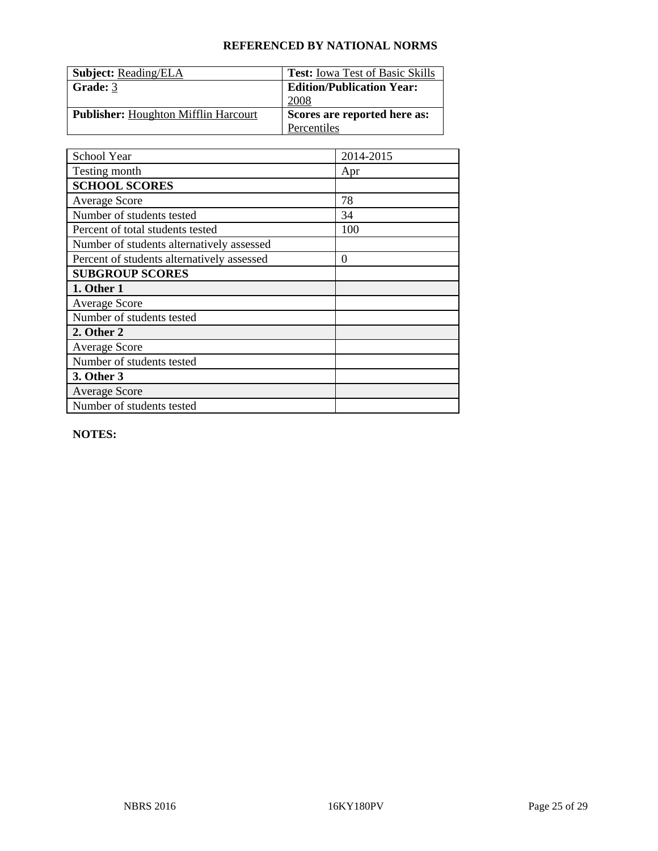| <b>Subject:</b> Reading/ELA                 | <b>Test:</b> Iowa Test of Basic Skills |
|---------------------------------------------|----------------------------------------|
| Grade: 3                                    | <b>Edition/Publication Year:</b>       |
|                                             | 2008                                   |
| <b>Publisher:</b> Houghton Mifflin Harcourt | Scores are reported here as:           |
|                                             | Percentiles                            |

| School Year                                | 2014-2015 |
|--------------------------------------------|-----------|
| Testing month                              | Apr       |
| <b>SCHOOL SCORES</b>                       |           |
| <b>Average Score</b>                       | 78        |
| Number of students tested                  | 34        |
| Percent of total students tested           | 100       |
| Number of students alternatively assessed  |           |
| Percent of students alternatively assessed | $\theta$  |
| <b>SUBGROUP SCORES</b>                     |           |
| 1. Other 1                                 |           |
| <b>Average Score</b>                       |           |
| Number of students tested                  |           |
| 2. Other 2                                 |           |
| <b>Average Score</b>                       |           |
| Number of students tested                  |           |
| 3. Other 3                                 |           |
| <b>Average Score</b>                       |           |
| Number of students tested                  |           |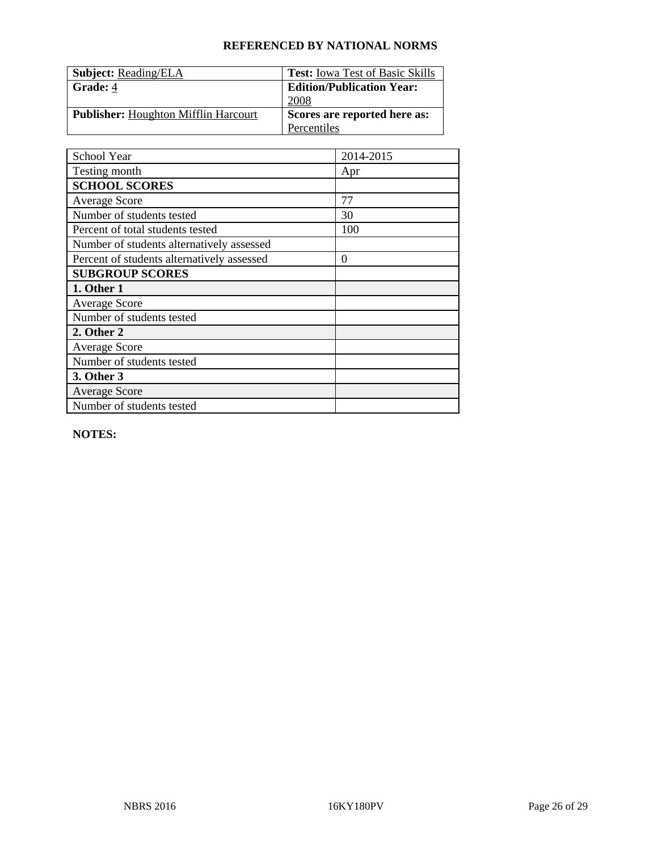| <b>Subject:</b> Reading/ELA                 | <b>Test:</b> Iowa Test of Basic Skills |
|---------------------------------------------|----------------------------------------|
| <b>Grade: 4</b>                             | <b>Edition/Publication Year:</b>       |
|                                             | 2008                                   |
| <b>Publisher:</b> Houghton Mifflin Harcourt | Scores are reported here as:           |
|                                             | Percentiles                            |

| School Year                                | 2014-2015 |
|--------------------------------------------|-----------|
| Testing month                              | Apr       |
| <b>SCHOOL SCORES</b>                       |           |
| <b>Average Score</b>                       | 77        |
| Number of students tested                  | 30        |
| Percent of total students tested           | 100       |
| Number of students alternatively assessed  |           |
| Percent of students alternatively assessed | $\theta$  |
| <b>SUBGROUP SCORES</b>                     |           |
| 1. Other 1                                 |           |
| <b>Average Score</b>                       |           |
| Number of students tested                  |           |
| 2. Other 2                                 |           |
| <b>Average Score</b>                       |           |
| Number of students tested                  |           |
| 3. Other 3                                 |           |
| <b>Average Score</b>                       |           |
| Number of students tested                  |           |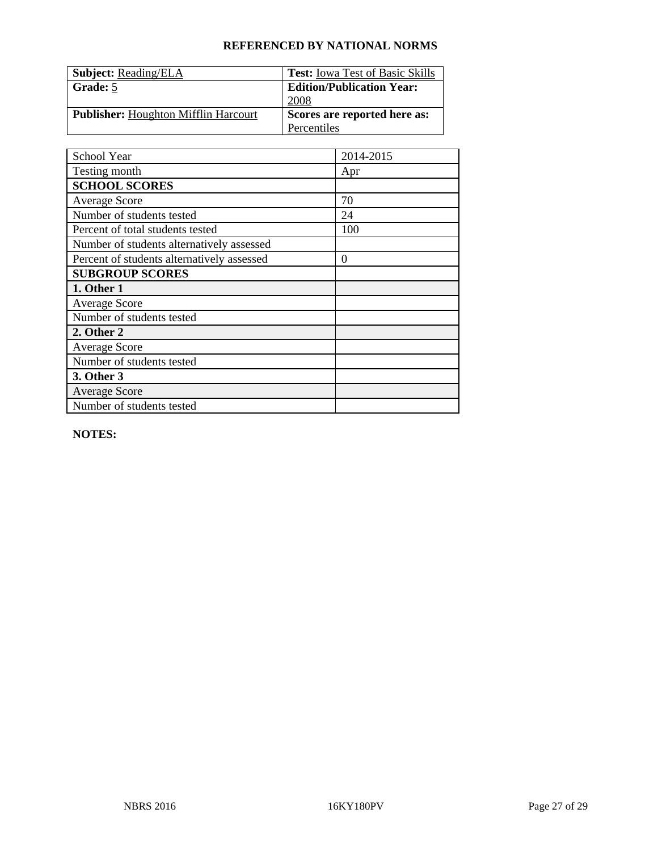| <b>Subject: Reading/ELA</b>                 | <b>Test:</b> Iowa Test of Basic Skills |
|---------------------------------------------|----------------------------------------|
| Grade: 5                                    | <b>Edition/Publication Year:</b>       |
|                                             | 2008                                   |
| <b>Publisher:</b> Houghton Mifflin Harcourt | Scores are reported here as:           |
|                                             | Percentiles                            |

| School Year                                | 2014-2015 |
|--------------------------------------------|-----------|
| Testing month                              | Apr       |
| <b>SCHOOL SCORES</b>                       |           |
| <b>Average Score</b>                       | 70        |
| Number of students tested                  | 24        |
| Percent of total students tested           | 100       |
| Number of students alternatively assessed  |           |
| Percent of students alternatively assessed | $\theta$  |
| <b>SUBGROUP SCORES</b>                     |           |
| 1. Other 1                                 |           |
| <b>Average Score</b>                       |           |
| Number of students tested                  |           |
| 2. Other 2                                 |           |
| <b>Average Score</b>                       |           |
| Number of students tested                  |           |
| 3. Other 3                                 |           |
| <b>Average Score</b>                       |           |
| Number of students tested                  |           |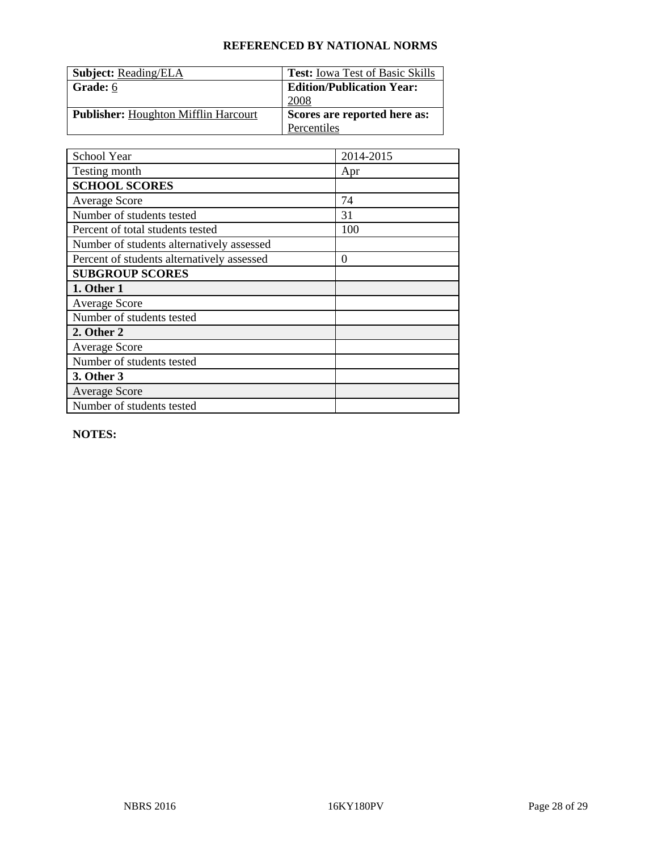| <b>Subject: Reading/ELA</b>                 | <b>Test:</b> Iowa Test of Basic Skills |
|---------------------------------------------|----------------------------------------|
| Grade: 6                                    | <b>Edition/Publication Year:</b>       |
|                                             | 2008                                   |
| <b>Publisher:</b> Houghton Mifflin Harcourt | Scores are reported here as:           |
|                                             | Percentiles                            |

| School Year                                | 2014-2015 |
|--------------------------------------------|-----------|
| Testing month                              | Apr       |
| <b>SCHOOL SCORES</b>                       |           |
| <b>Average Score</b>                       | 74        |
| Number of students tested                  | 31        |
| Percent of total students tested           | 100       |
| Number of students alternatively assessed  |           |
| Percent of students alternatively assessed | $\theta$  |
| <b>SUBGROUP SCORES</b>                     |           |
| 1. Other 1                                 |           |
| <b>Average Score</b>                       |           |
| Number of students tested                  |           |
| 2. Other 2                                 |           |
| <b>Average Score</b>                       |           |
| Number of students tested                  |           |
| 3. Other 3                                 |           |
| <b>Average Score</b>                       |           |
| Number of students tested                  |           |